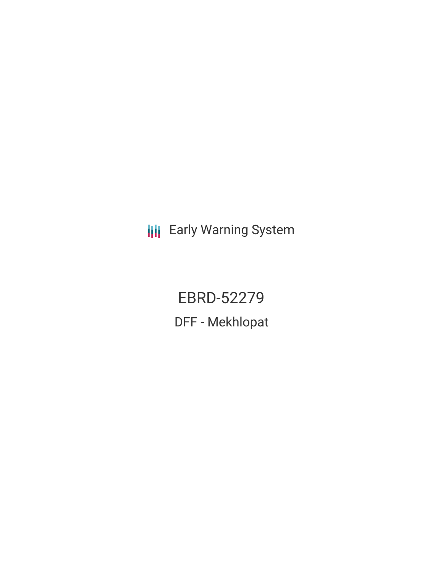**III** Early Warning System

EBRD-52279 DFF - Mekhlopat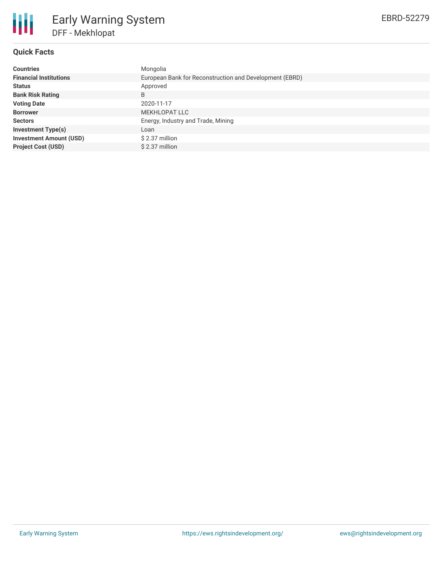

# **Quick Facts**

| <b>Countries</b>               | Mongolia                                                |
|--------------------------------|---------------------------------------------------------|
| <b>Financial Institutions</b>  | European Bank for Reconstruction and Development (EBRD) |
| <b>Status</b>                  | Approved                                                |
| <b>Bank Risk Rating</b>        | B                                                       |
| <b>Voting Date</b>             | 2020-11-17                                              |
| <b>Borrower</b>                | MEKHLOPAT LLC                                           |
| <b>Sectors</b>                 | Energy, Industry and Trade, Mining                      |
| <b>Investment Type(s)</b>      | Loan                                                    |
| <b>Investment Amount (USD)</b> | \$2.37 million                                          |
| <b>Project Cost (USD)</b>      | \$2.37 million                                          |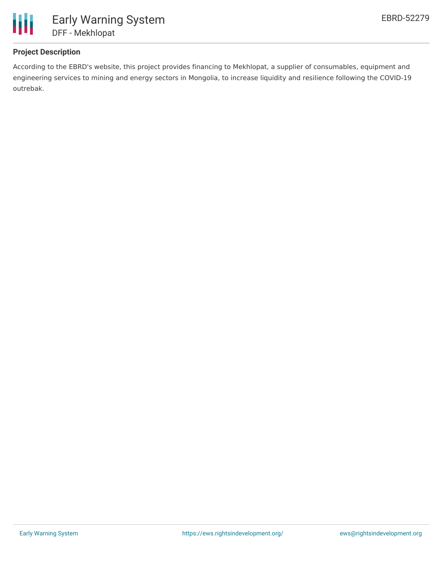

# **Project Description**

According to the EBRD's website, this project provides financing to Mekhlopat, a supplier of consumables, equipment and engineering services to mining and energy sectors in Mongolia, to increase liquidity and resilience following the COVID-19 outrebak.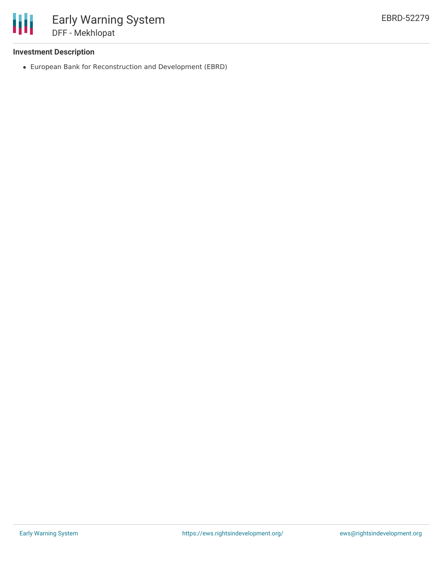

### **Investment Description**

European Bank for Reconstruction and Development (EBRD)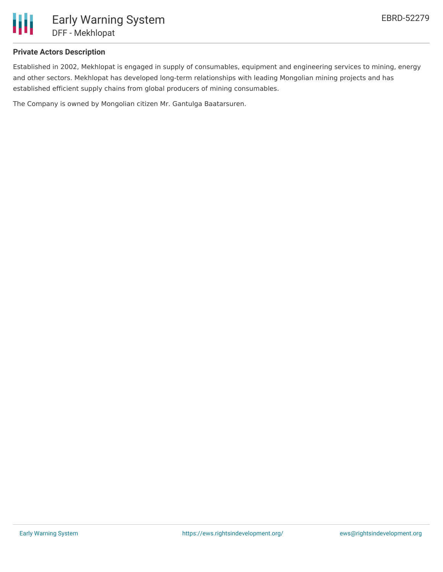

# **Private Actors Description**

Established in 2002, Mekhlopat is engaged in supply of consumables, equipment and engineering services to mining, energy and other sectors. Mekhlopat has developed long-term relationships with leading Mongolian mining projects and has established efficient supply chains from global producers of mining consumables.

The Company is owned by Mongolian citizen Mr. Gantulga Baatarsuren.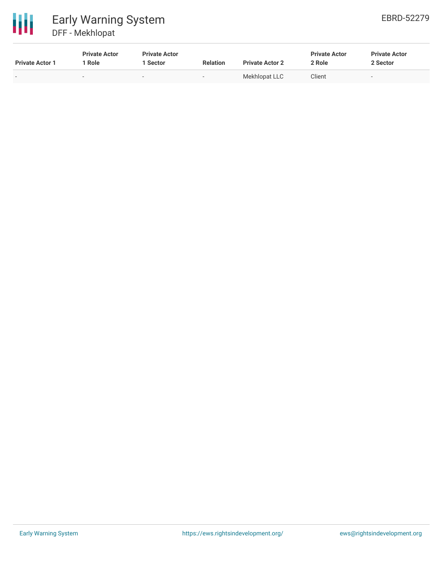

| <b>Private Actor 1</b> | <b>Private Actor</b><br>Role | <b>Private Actor</b><br>l Sector | <b>Relation</b>          | <b>Private Actor 2</b> | <b>Private Actor</b><br>2 Role | <b>Private Actor</b><br>2 Sector |
|------------------------|------------------------------|----------------------------------|--------------------------|------------------------|--------------------------------|----------------------------------|
|                        | -                            | $\sim$                           | $\overline{\phantom{0}}$ | Mekhlopat LLC          | Client                         | $\sim$                           |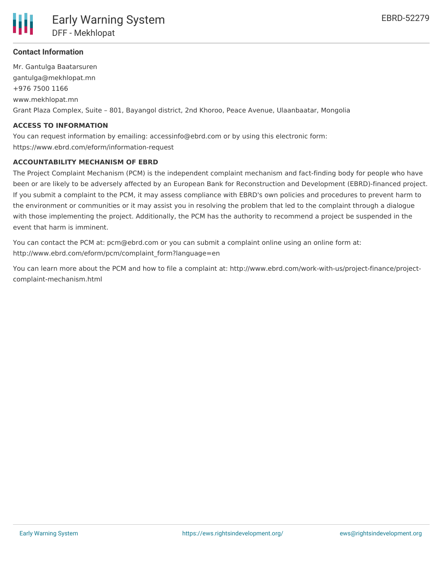

## **Contact Information**

Mr. Gantulga Baatarsuren gantulga@mekhlopat.mn +976 7500 1166 www.mekhlopat.mn Grant Plaza Complex, Suite – 801, Bayangol district, 2nd Khoroo, Peace Avenue, Ulaanbaatar, Mongolia

#### **ACCESS TO INFORMATION**

You can request information by emailing: accessinfo@ebrd.com or by using this electronic form: https://www.ebrd.com/eform/information-request

#### **ACCOUNTABILITY MECHANISM OF EBRD**

The Project Complaint Mechanism (PCM) is the independent complaint mechanism and fact-finding body for people who have been or are likely to be adversely affected by an European Bank for Reconstruction and Development (EBRD)-financed project. If you submit a complaint to the PCM, it may assess compliance with EBRD's own policies and procedures to prevent harm to the environment or communities or it may assist you in resolving the problem that led to the complaint through a dialogue with those implementing the project. Additionally, the PCM has the authority to recommend a project be suspended in the event that harm is imminent.

You can contact the PCM at: pcm@ebrd.com or you can submit a complaint online using an online form at: http://www.ebrd.com/eform/pcm/complaint\_form?language=en

You can learn more about the PCM and how to file a complaint at: http://www.ebrd.com/work-with-us/project-finance/projectcomplaint-mechanism.html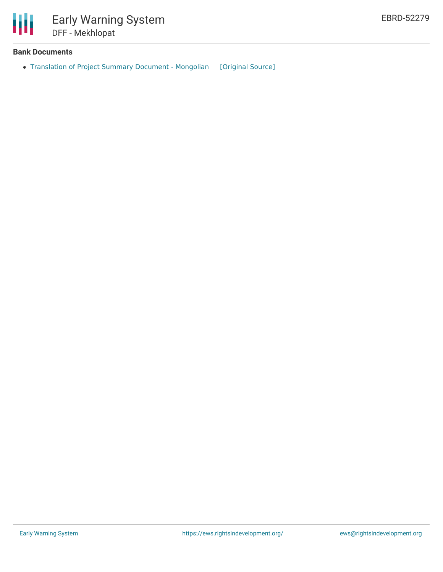

#### **Bank Documents**

• [Translation](https://ewsdata.rightsindevelopment.org/files/documents/79/EBRD-52279.pdf) of Project Summary Document - Mongolian [\[Original](https://www.ebrd.com/work-with-us/projects/psd-translation/52279/1395294470305/DFF_-_Mekhlopat_(Mongolian).pdf?blobnocache=true) Source]